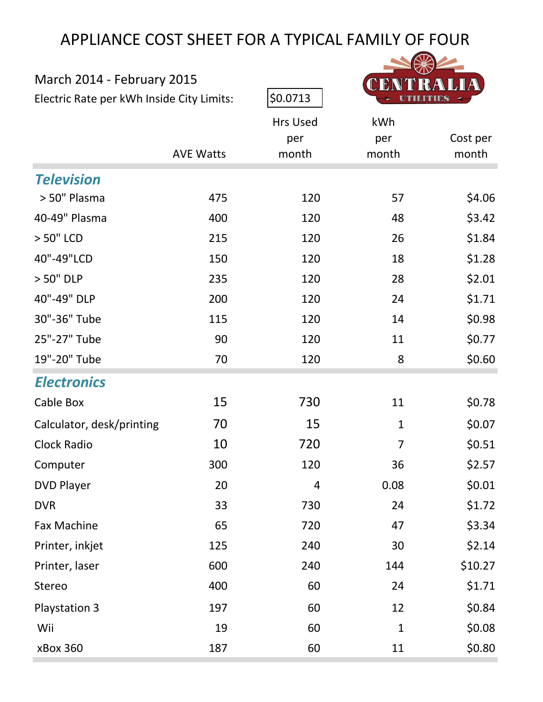# APPLIANCE COST SHEET FOR A TYPICAL FAMILY OF FOUR

| March 2014 - February 2015                |                  |                 |              |          |  |
|-------------------------------------------|------------------|-----------------|--------------|----------|--|
| Electric Rate per kWh Inside City Limits: |                  | \$0.0713        |              |          |  |
|                                           |                  | <b>Hrs Used</b> | kWh          |          |  |
|                                           |                  | per             | per          | Cost per |  |
|                                           | <b>AVE Watts</b> | month           | month        | month    |  |
| <b>Television</b>                         |                  |                 |              |          |  |
| > 50" Plasma                              | 475              | 120             | 57           | \$4.06   |  |
| 40-49" Plasma                             | 400              | 120             | 48           | \$3.42   |  |
| > 50" LCD                                 | 215              | 120             | 26           | \$1.84   |  |
| 40"-49"LCD                                | 150              | 120             | 18           | \$1.28   |  |
| > 50" DLP                                 | 235              | 120             | 28           | \$2.01   |  |
| 40"-49" DLP                               | 200              | 120             | 24           | \$1.71   |  |
| 30"-36" Tube                              | 115              | 120             | 14           | \$0.98   |  |
| 25"-27" Tube                              | 90               | 120             | 11           | \$0.77   |  |
| 19"-20" Tube                              | 70               | 120             | 8            | \$0.60   |  |
| <b>Electronics</b>                        |                  |                 |              |          |  |
| Cable Box                                 | 15               | 730             | 11           | \$0.78   |  |
| Calculator, desk/printing                 | 70               | 15              | $\mathbf{1}$ | \$0.07   |  |
| <b>Clock Radio</b>                        | 10               | 720             | 7            | \$0.51   |  |
| Computer                                  | 300              | 120             | 36           | \$2.57   |  |
| <b>DVD Player</b>                         | 20               | 4               | 0.08         | \$0.01   |  |
| <b>DVR</b>                                | 33               | 730             | 24           | \$1.72   |  |
| Fax Machine                               | 65               | 720             | 47           | \$3.34   |  |
| Printer, inkjet                           | 125              | 240             | 30           | \$2.14   |  |
| Printer, laser                            | 600              | 240             | 144          | \$10.27  |  |
| <b>Stereo</b>                             | 400              | 60              | 24           | \$1.71   |  |
| Playstation 3                             | 197              | 60              | 12           | \$0.84   |  |
| Wii                                       | 19               | 60              | $\mathbf{1}$ | \$0.08   |  |
| xBox 360                                  | 187              | 60              | 11           | \$0.80   |  |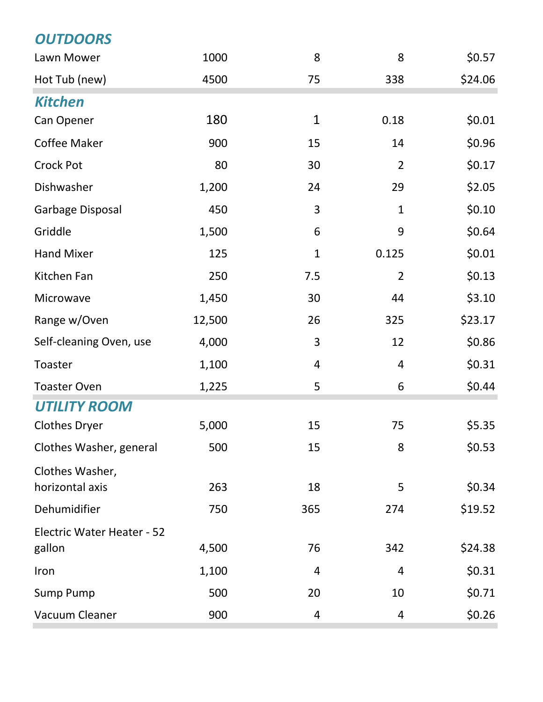| <b>OUTDOORS</b>                   |        |              |                |         |
|-----------------------------------|--------|--------------|----------------|---------|
| Lawn Mower                        | 1000   | 8            | 8              | \$0.57  |
| Hot Tub (new)                     | 4500   | 75           | 338            | \$24.06 |
| <b>Kitchen</b>                    |        |              |                |         |
| Can Opener                        | 180    | $\mathbf{1}$ | 0.18           | \$0.01  |
| Coffee Maker                      | 900    | 15           | 14             | \$0.96  |
| <b>Crock Pot</b>                  | 80     | 30           | $\overline{2}$ | \$0.17  |
| Dishwasher                        | 1,200  | 24           | 29             | \$2.05  |
| Garbage Disposal                  | 450    | 3            | $\mathbf{1}$   | \$0.10  |
| Griddle                           | 1,500  | 6            | 9              | \$0.64  |
| <b>Hand Mixer</b>                 | 125    | $\mathbf{1}$ | 0.125          | \$0.01  |
| Kitchen Fan                       | 250    | 7.5          | $\overline{2}$ | \$0.13  |
| Microwave                         | 1,450  | 30           | 44             | \$3.10  |
| Range w/Oven                      | 12,500 | 26           | 325            | \$23.17 |
| Self-cleaning Oven, use           | 4,000  | 3            | 12             | \$0.86  |
| Toaster                           | 1,100  | 4            | $\overline{4}$ | \$0.31  |
| <b>Toaster Oven</b>               | 1,225  | 5            | 6              | \$0.44  |
| <b>UTILITY ROOM</b>               |        |              |                |         |
| <b>Clothes Dryer</b>              | 5,000  | 15           | 75             | \$5.35  |
| Clothes Washer, general           | 500    | 15           | 8              | \$0.53  |
| Clothes Washer,                   |        |              |                |         |
| horizontal axis                   | 263    | 18           | 5              | \$0.34  |
| Dehumidifier                      | 750    | 365          | 274            | \$19.52 |
| <b>Electric Water Heater - 52</b> |        |              |                |         |
| gallon                            | 4,500  | 76           | 342            | \$24.38 |
| Iron                              | 1,100  | 4            | 4              | \$0.31  |
| <b>Sump Pump</b>                  | 500    | 20           | 10             | \$0.71  |
| Vacuum Cleaner                    | 900    | 4            | 4              | \$0.26  |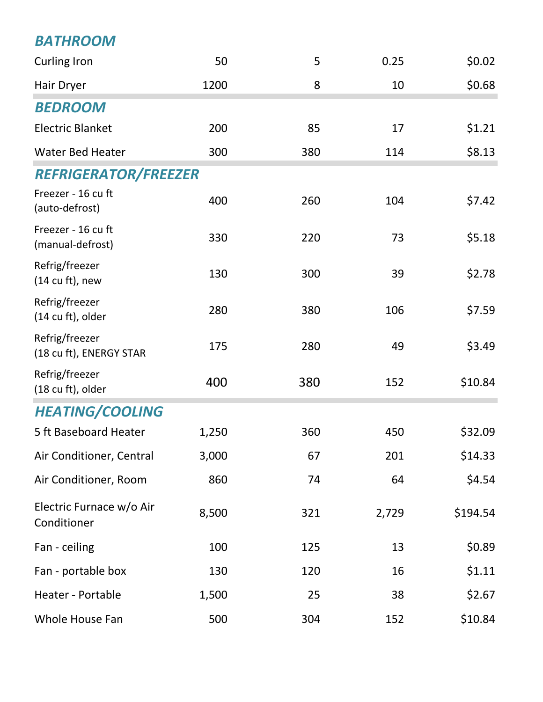### *BATHROOM*

| <b>Curling Iron</b>                            | 50    | 5   | 0.25  | \$0.02   |
|------------------------------------------------|-------|-----|-------|----------|
| Hair Dryer                                     | 1200  | 8   | 10    | \$0.68   |
| <b>BEDROOM</b>                                 |       |     |       |          |
| <b>Electric Blanket</b>                        | 200   | 85  | 17    | \$1.21   |
| <b>Water Bed Heater</b>                        | 300   | 380 | 114   | \$8.13   |
| <b>REFRIGERATOR/FREEZER</b>                    |       |     |       |          |
| Freezer - 16 cu ft<br>(auto-defrost)           | 400   | 260 | 104   | \$7.42   |
| Freezer - 16 cu ft<br>(manual-defrost)         | 330   | 220 | 73    | \$5.18   |
| Refrig/freezer<br>$(14 \text{ cu ft})$ , new   | 130   | 300 | 39    | \$2.78   |
| Refrig/freezer<br>$(14 \text{ cu ft})$ , older | 280   | 380 | 106   | \$7.59   |
| Refrig/freezer<br>(18 cu ft), ENERGY STAR      | 175   | 280 | 49    | \$3.49   |
| Refrig/freezer<br>(18 cu ft), older            | 400   | 380 | 152   | \$10.84  |
| <b>HEATING/COOLING</b>                         |       |     |       |          |
| 5 ft Baseboard Heater                          | 1,250 | 360 | 450   | \$32.09  |
| Air Conditioner, Central                       | 3,000 | 67  | 201   | \$14.33  |
| Air Conditioner, Room                          | 860   | 74  | 64    | \$4.54   |
| Electric Furnace w/o Air<br>Conditioner        | 8,500 | 321 | 2,729 | \$194.54 |
| Fan - ceiling                                  | 100   | 125 | 13    | \$0.89   |
| Fan - portable box                             | 130   | 120 | 16    | \$1.11   |
| Heater - Portable                              | 1,500 | 25  | 38    | \$2.67   |
| Whole House Fan                                | 500   | 304 | 152   | \$10.84  |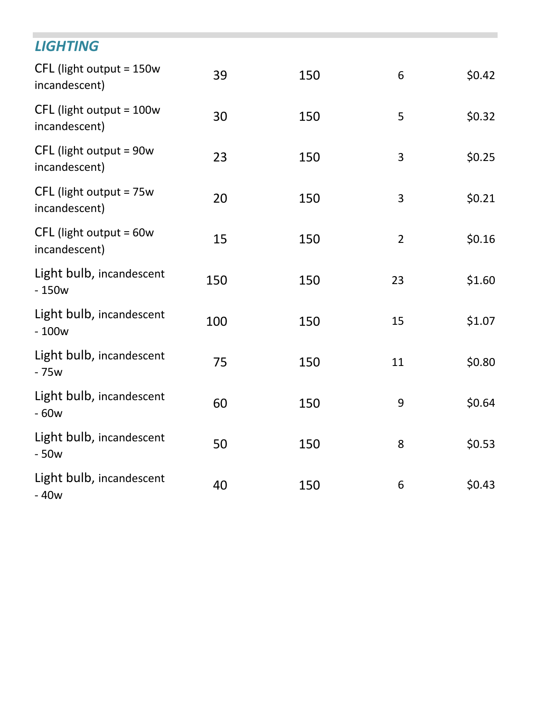| <b>LIGHTING</b>                             |     |     |                |        |
|---------------------------------------------|-----|-----|----------------|--------|
| $CFL$ (light output = 150w<br>incandescent) | 39  | 150 | 6              | \$0.42 |
| $CFL$ (light output = 100w<br>incandescent) | 30  | 150 | 5              | \$0.32 |
| CFL (light output = 90w<br>incandescent)    | 23  | 150 | 3              | \$0.25 |
| $CFL$ (light output = 75w<br>incandescent)  | 20  | 150 | 3              | \$0.21 |
| $CFL$ (light output = 60w<br>incandescent)  | 15  | 150 | $\overline{2}$ | \$0.16 |
| Light bulb, incandescent<br>$-150w$         | 150 | 150 | 23             | \$1.60 |
| Light bulb, incandescent<br>$-100w$         | 100 | 150 | 15             | \$1.07 |
| Light bulb, incandescent<br>$-75w$          | 75  | 150 | 11             | \$0.80 |
| Light bulb, incandescent<br>$-60w$          | 60  | 150 | 9              | \$0.64 |
| Light bulb, incandescent<br>$-50w$          | 50  | 150 | 8              | \$0.53 |
| Light bulb, incandescent<br>$-40w$          | 40  | 150 | 6              | \$0.43 |